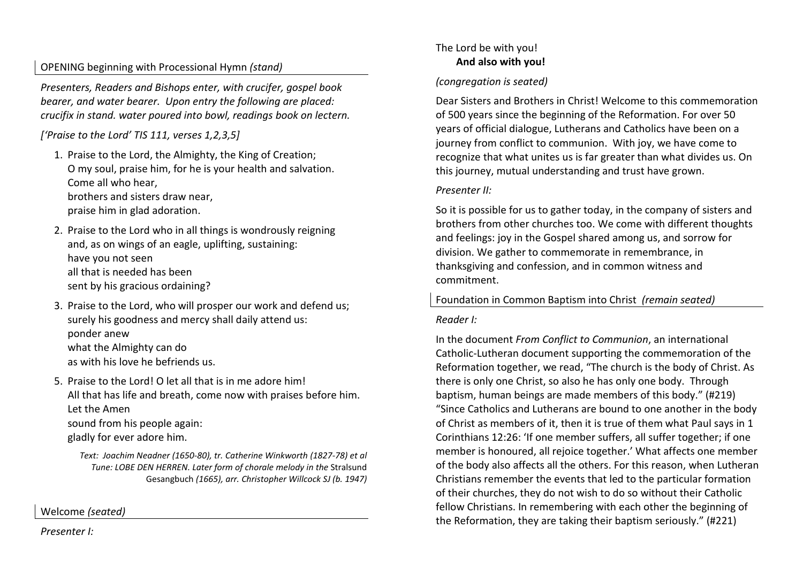# OPENING beginning with Processional Hymn *(stand)*

*Presenters, Readers and Bishops enter, with crucifer, gospel book bearer, and water bearer. Upon entry the following are placed: crucifix in stand. water poured into bowl, readings book on lectern.* 

*['Praise to the Lord' TIS 111, verses 1,2,3,5]*

- 1. Praise to the Lord, the Almighty, the King of Creation; O my soul, praise him, for he is your health and salvation. Come all who hear, brothers and sisters draw near, praise him in glad adoration.
- 2. Praise to the Lord who in all things is wondrously reigning and, as on wings of an eagle, uplifting, sustaining: have you not seen all that is needed has been sent by his gracious ordaining?
- 3. Praise to the Lord, who will prosper our work and defend us; surely his goodness and mercy shall daily attend us: ponder anew what the Almighty can do as with his love he befriends us.

5. Praise to the Lord! O let all that is in me adore him! All that has life and breath, come now with praises before him. Let the Amen sound from his people again: gladly for ever adore him.

*Text: Joachim Neadner (1650-80), tr. Catherine Winkworth (1827-78) et al Tune: LOBE DEN HERREN. Later form of chorale melody in the* Stralsund Gesangbuch *(1665), arr. Christopher Willcock SJ (b. 1947)* 

Welcome *(seated)* 

### *Presenter I:*

# The Lord be with you!  **And also with you!**

# *(congregation is seated)*

Dear Sisters and Brothers in Christ! Welcome to this commemoration of 500 years since the beginning of the Reformation. For over 50 years of official dialogue, Lutherans and Catholics have been on a journey from conflict to communion. With joy, we have come to recognize that what unites us is far greater than what divides us. On this journey, mutual understanding and trust have grown.

### *Presenter II:*

So it is possible for us to gather today, in the company of sisters and brothers from other churches too. We come with different thoughts and feelings: joy in the Gospel shared among us, and sorrow for division. We gather to commemorate in remembrance, in thanksgiving and confession, and in common witness and commitment.

### Foundation in Common Baptism into Christ *(remain seated)*

### *Reader I:*

In the document *From Conflict to Communion*, an international Catholic-Lutheran document supporting the commemoration of the Reformation together, we read, "The church is the body of Christ. As there is only one Christ, so also he has only one body. Through baptism, human beings are made members of this body." (#219) "Since Catholics and Lutherans are bound to one another in the body of Christ as members of it, then it is true of them what Paul says in 1 Corinthians 12:26: 'If one member suffers, all suffer together; if one member is honoured, all rejoice together.' What affects one member of the body also affects all the others. For this reason, when Lutheran Christians remember the events that led to the particular formation of their churches, they do not wish to do so without their Catholic fellow Christians. In remembering with each other the beginning of the Reformation, they are taking their baptism seriously." (#221)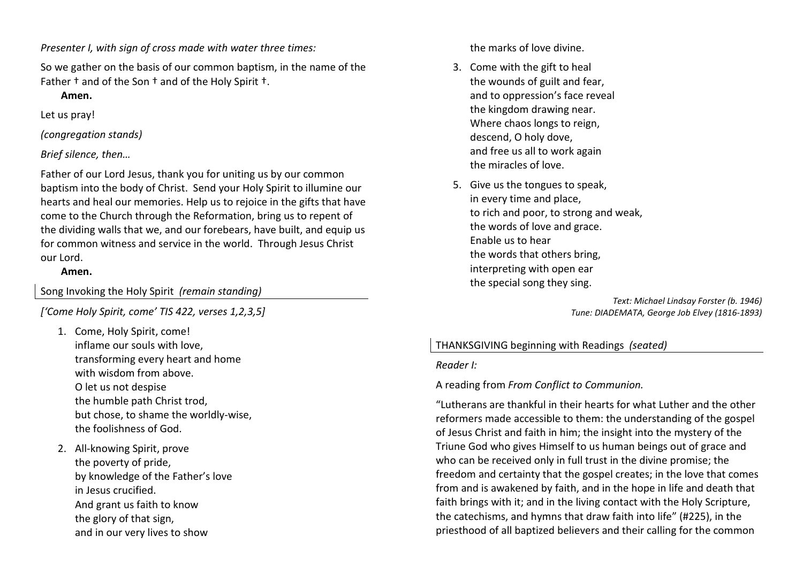*Presenter I, with sign of cross made with water three times:*

So we gather on the basis of our common baptism, in the name of the Father † and of the Son † and of the Holy Spirit †.

### **Amen.**

Let us pray!

*(congregation stands)* 

*Brief silence, then…*

Father of our Lord Jesus, thank you for uniting us by our common baptism into the body of Christ. Send your Holy Spirit to illumine our hearts and heal our memories. Help us to rejoice in the gifts that have come to the Church through the Reformation, bring us to repent of the dividing walls that we, and our forebears, have built, and equip us for common witness and service in the world. Through Jesus Christ our Lord.

### **Amen.**

Song Invoking the Holy Spirit *(remain standing)* 

*['Come Holy Spirit, come' TIS 422, verses 1,2,3,5]*

- 1. Come, Holy Spirit, come! inflame our souls with love, transforming every heart and home with wisdom from above. O let us not despise the humble path Christ trod, but chose, to shame the worldly-wise, the foolishness of God.
- 2. All-knowing Spirit, prove the poverty of pride, by knowledge of the Father's love in Jesus crucified. And grant us faith to know the glory of that sign, and in our very lives to show

the marks of love divine.

- 3. Come with the gift to heal the wounds of guilt and fear, and to oppression's face reveal the kingdom drawing near. Where chaos longs to reign, descend, O holy dove, and free us all to work again the miracles of love.
- 5. Give us the tongues to speak, in every time and place, to rich and poor, to strong and weak, the words of love and grace. Enable us to hear the words that others bring, interpreting with open ear the special song they sing.

*Text: Michael Lindsay Forster (b. 1946) Tune: DIADEMATA, George Job Elvey (1816-1893)* 

### THANKSGIVING beginning with Readings *(seated)*

*Reader I:*

A reading from *From Conflict to Communion.*

"Lutherans are thankful in their hearts for what Luther and the other reformers made accessible to them: the understanding of the gospel of Jesus Christ and faith in him; the insight into the mystery of the Triune God who gives Himself to us human beings out of grace and who can be received only in full trust in the divine promise; the freedom and certainty that the gospel creates; in the love that comes from and is awakened by faith, and in the hope in life and death that faith brings with it; and in the living contact with the Holy Scripture, the catechisms, and hymns that draw faith into life" (#225), in the priesthood of all baptized believers and their calling for the common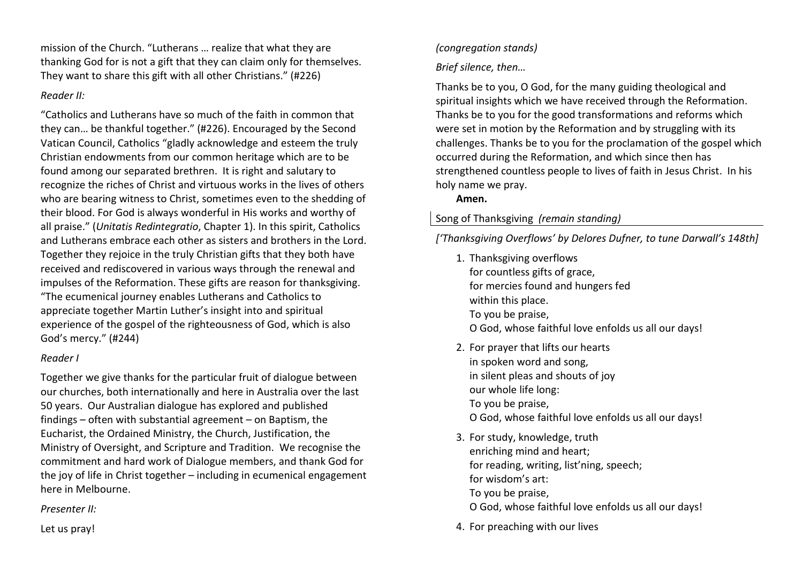mission of the Church. "Lutherans … realize that what they are thanking God for is not a gift that they can claim only for themselves. They want to share this gift with all other Christians." (#226)

### *Reader II:*

"Catholics and Lutherans have so much of the faith in common that they can… be thankful together." (#226). Encouraged by the Second Vatican Council, Catholics "gladly acknowledge and esteem the truly Christian endowments from our common heritage which are to be found among our separated brethren. It is right and salutary to recognize the riches of Christ and virtuous works in the lives of others who are bearing witness to Christ, sometimes even to the shedding of their blood. For God is always wonderful in His works and worthy of all praise." (*Unitatis Redintegratio*, Chapter 1). In this spirit, Catholics and Lutherans embrace each other as sisters and brothers in the Lord. Together they rejoice in the truly Christian gifts that they both have received and rediscovered in various ways through the renewal and impulses of the Reformation. These gifts are reason for thanksgiving. "The ecumenical journey enables Lutherans and Catholics to appreciate together Martin Luther's insight into and spiritual experience of the gospel of the righteousness of God, which is also God's mercy." (#244)

### *Reader I*

Together we give thanks for the particular fruit of dialogue between our churches, both internationally and here in Australia over the last 50 years. Our Australian dialogue has explored and published findings – often with substantial agreement – on Baptism, the Eucharist, the Ordained Ministry, the Church, Justification, the Ministry of Oversight, and Scripture and Tradition. We recognise the commitment and hard work of Dialogue members, and thank God for the joy of life in Christ together – including in ecumenical engagement here in Melbourne.

*Presenter II:* 

Let us pray!

# *(congregation stands)*

*Brief silence, then…*

Thanks be to you, O God, for the many guiding theological and spiritual insights which we have received through the Reformation. Thanks be to you for the good transformations and reforms which were set in motion by the Reformation and by struggling with its challenges. Thanks be to you for the proclamation of the gospel which occurred during the Reformation, and which since then has strengthened countless people to lives of faith in Jesus Christ. In his holy name we pray.

**Amen.**

# Song of Thanksgiving *(remain standing)*

*['Thanksgiving Overflows' by Delores Dufner, to tune Darwall's 148th]*

- 1. Thanksgiving overflows for countless gifts of grace, for mercies found and hungers fed within this place. To you be praise, O God, whose faithful love enfolds us all our days!2. For prayer that lifts our hearts
- in spoken word and song, in silent pleas and shouts of joy our whole life long: To you be praise, O God, whose faithful love enfolds us all our days!
- 3. For study, knowledge, truth enriching mind and heart; for reading, writing, list'ning, speech; for wisdom's art: To you be praise,
	- O God, whose faithful love enfolds us all our days!
- 4. For preaching with our lives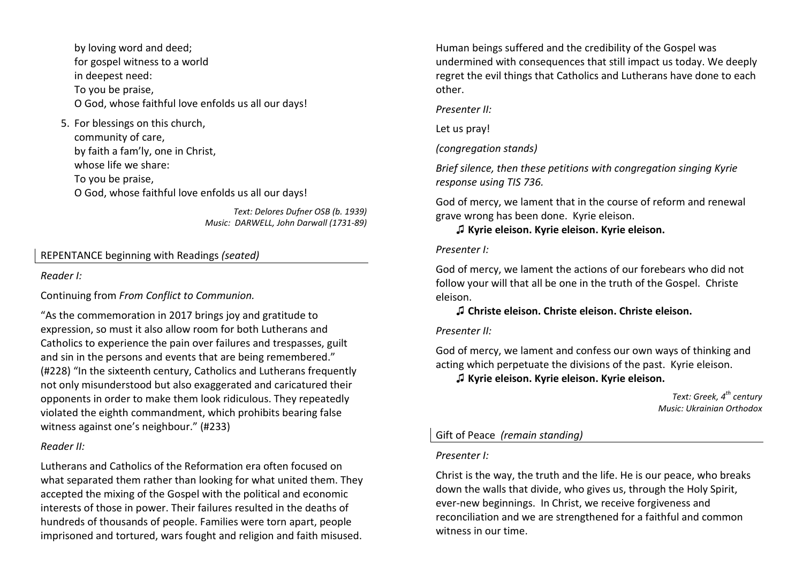by loving word and deed; for gospel witness to a world in deepest need: To you be praise, O God, whose faithful love enfolds us all our days!

# 5. For blessings on this church, community of care, by faith a fam'ly, one in Christ, whose life we share: To you be praise, O God, whose faithful love enfolds us all our days!

*Text: Delores Dufner OSB (b. 1939)Music: DARWELL, John Darwall (1731-89)* 

### REPENTANCE beginning with Readings *(seated)*

### *Reader I:*

Continuing from *From Conflict to Communion.*

"As the commemoration in 2017 brings joy and gratitude to expression, so must it also allow room for both Lutherans and Catholics to experience the pain over failures and trespasses, guilt and sin in the persons and events that are being remembered." (#228) "In the sixteenth century, Catholics and Lutherans frequently not only misunderstood but also exaggerated and caricatured their opponents in order to make them look ridiculous. They repeatedly violated the eighth commandment, which prohibits bearing false witness against one's neighbour." (#233)

### *Reader II:*

Lutherans and Catholics of the Reformation era often focused on what separated them rather than looking for what united them. They accepted the mixing of the Gospel with the political and economic interests of those in power. Their failures resulted in the deaths of hundreds of thousands of people. Families were torn apart, people imprisoned and tortured, wars fought and religion and faith misused.

Human beings suffered and the credibility of the Gospel was undermined with consequences that still impact us today. We deeply regret the evil things that Catholics and Lutherans have done to each other.

*Presenter II:*

Let us pray!

*(congregation stands)* 

*Brief silence, then these petitions with congregation singing Kyrie response using TIS 736.*

God of mercy, we lament that in the course of reform and renewal grave wrong has been done. Kyrie eleison.

♫ **Kyrie eleison. Kyrie eleison. Kyrie eleison.** 

### *Presenter I:*

God of mercy, we lament the actions of our forebears who did not follow your will that all be one in the truth of the Gospel. Christe eleison.

# ♫ **Christe eleison. Christe eleison. Christe eleison.**

### *Presenter II:*

God of mercy, we lament and confess our own ways of thinking and acting which perpetuate the divisions of the past. Kyrie eleison.

# ♫ **Kyrie eleison. Kyrie eleison. Kyrie eleison.**

*Text: Greek, 4th century Music: Ukrainian Orthodox* 

### Gift of Peace *(remain standing)*

### *Presenter I:*

Christ is the way, the truth and the life. He is our peace, who breaks down the walls that divide, who gives us, through the Holy Spirit, ever-new beginnings. In Christ, we receive forgiveness and reconciliation and we are strengthened for a faithful and common witness in our time.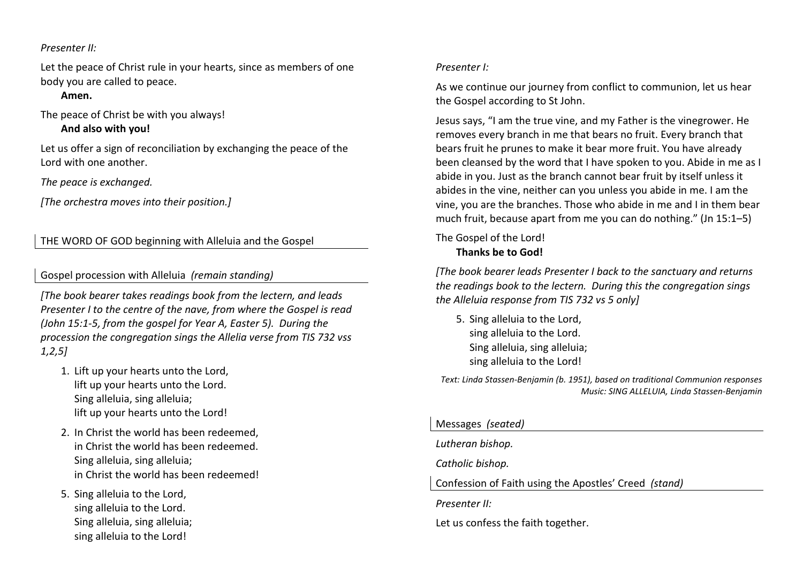### *Presenter II:*

Let the peace of Christ rule in your hearts, since as members of one body you are called to peace.

### **Amen.**

The peace of Christ be with you always!

 **And also with you!** 

Let us offer a sign of reconciliation by exchanging the peace of the Lord with one another.

*The peace is exchanged.* 

*[The orchestra moves into their position.]* 

# THE WORD OF GOD beginning with Alleluia and the Gospel

### Gospel procession with Alleluia *(remain standing)*

*[The book bearer takes readings book from the lectern, and leads Presenter I to the centre of the nave, from where the Gospel is read (John 15:1-5, from the gospel for Year A, Easter 5). During the procession the congregation sings the Allelia verse from TIS 732 vss 1,2,5]* 

- 1. Lift up your hearts unto the Lord, lift up your hearts unto the Lord. Sing alleluia, sing alleluia; lift up your hearts unto the Lord!
- 2. In Christ the world has been redeemed, in Christ the world has been redeemed. Sing alleluia, sing alleluia; in Christ the world has been redeemed!
- 5. Sing alleluia to the Lord, sing alleluia to the Lord. Sing alleluia, sing alleluia; sing alleluia to the Lord!

### *Presenter I:*

As we continue our journey from conflict to communion, let us hear the Gospel according to St John.

Jesus says, "I am the true vine, and my Father is the vinegrower. He removes every branch in me that bears no fruit. Every branch that bears fruit he prunes to make it bear more fruit. You have already been cleansed by the word that I have spoken to you. Abide in me as I abide in you. Just as the branch cannot bear fruit by itself unless it abides in the vine, neither can you unless you abide in me. I am the vine, you are the branches. Those who abide in me and I in them bear much fruit, because apart from me you can do nothing." (Jn 15:1–5)

### The Gospel of the Lord!  **Thanks be to God!**

*[The book bearer leads Presenter I back to the sanctuary and returns the readings book to the lectern. During this the congregation sings the Alleluia response from TIS 732 vs 5 only]* 

5. Sing alleluia to the Lord, sing alleluia to the Lord. Sing alleluia, sing alleluia; sing alleluia to the Lord!

*Text: Linda Stassen-Benjamin (b. 1951), based on traditional Communion responses Music: SING ALLELUIA, Linda Stassen-Benjamin* 

### Messages *(seated)*

*Lutheran bishop.* 

*Catholic bishop.* 

Confession of Faith using the Apostles' Creed *(stand)* 

*Presenter II:* 

Let us confess the faith together.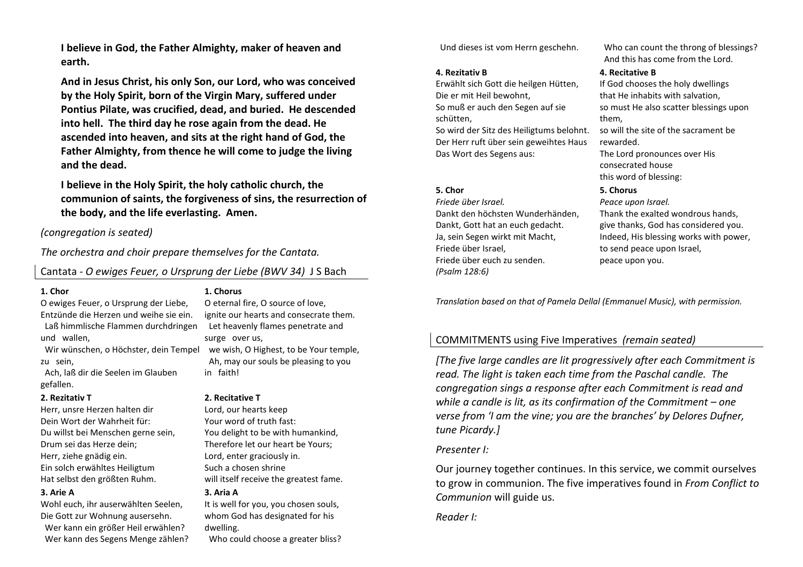**I believe in God, the Father Almighty, maker of heaven and earth.** 

 **And in Jesus Christ, his only Son, our Lord, who was conceived by the Holy Spirit, born of the Virgin Mary, suffered under Pontius Pilate, was crucified, dead, and buried. He descended into hell. The third day he rose again from the dead. He ascended into heaven, and sits at the right hand of God, the Father Almighty, from thence he will come to judge the living and the dead.** 

 **I believe in the Holy Spirit, the holy catholic church, the communion of saints, the forgiveness of sins, the resurrection of the body, and the life everlasting. Amen.** 

#### *(congregation is seated)*

*The orchestra and choir prepare themselves for the Cantata.*

### Cantata - *O ewiges Feuer, o Ursprung der Liebe (BWV 34)* J S Bach

#### **1. Chor**

 O ewiges Feuer, o Ursprung der Liebe, Entzünde die Herzen und weihe sie ein. Laß himmlische Flammen durchdringen und wallen,

 Wir wünschen, o Höchster, dein Tempel zu sein,

 Ach, laß dir die Seelen im Glauben gefallen.

#### **2. Rezitativ T**

 Herr, unsre Herzen halten dir Dein Wort der Wahrheit für: Du willst bei Menschen gerne sein, Drum sei das Herze dein; Herr, ziehe gnädig ein. Ein solch erwähltes Heiligtum Hat selbst den größten Ruhm.

#### **3. Arie A**

 Wohl euch, ihr auserwählten Seelen, Die Gott zur Wohnung ausersehn. Wer kann ein größer Heil erwählen? Wer kann des Segens Menge zählen?

### **1. Chorus**

 O eternal fire, O source of love, ignite our hearts and consecrate them. Let heavenly flames penetrate and surge over us, we wish, O Highest, to be Your temple, Ah, may our souls be pleasing to you in faith!

#### **2. Recitative T**

 Lord, our hearts keep Your word of truth fast: You delight to be with humankind, Therefore let our heart be Yours; Lord, enter graciously in. Such a chosen shrine will itself receive the greatest fame. **3. Aria A**

 It is well for you, you chosen souls, whom God has designated for his dwelling.

Who could choose a greater bliss?

#### **4. Rezitativ B**

 Erwählt sich Gott die heilgen Hütten, Die er mit Heil bewohnt, So muß er auch den Segen auf sie schütten, So wird der Sitz des Heiligtums belohnt.

Der Herr ruft über sein geweihtes Haus Das Wort des Segens aus:

#### **5. Chor**

 *Friede über Israel.*Dankt den höchsten Wunderhänden, Dankt, Gott hat an euch gedacht. Ja, sein Segen wirkt mit Macht, Friede über Israel, Friede über euch zu senden. *(Psalm 128:6)*

 Und dieses ist vom Herrn geschehn. Who can count the throng of blessings? And this has come from the Lord.

#### **4. Recitative B**

 If God chooses the holy dwellings that He inhabits with salvation, so must He also scatter blessings upon them,

so will the site of the sacrament be rewarded.

The Lord pronounces over His consecrated house this word of blessing:

#### **5. Chorus**

 *Peace upon Israel.*Thank the exalted wondrous hands, give thanks, God has considered you. Indeed, His blessing works with power, to send peace upon Israel, peace upon you.

*Translation based on that of Pamela Dellal (Emmanuel Music), with permission.*

# COMMITMENTS using Five Imperatives *(remain seated)*

*[The five large candles are lit progressively after each Commitment is read. The light is taken each time from the Paschal candle. The congregation sings a response after each Commitment is read and while a candle is lit, as its confirmation of the Commitment – one verse from 'I am the vine; you are the branches' by Delores Dufner, tune Picardy.]* 

### *Presenter I:*

Our journey together continues. In this service, we commit ourselves to grow in communion. The five imperatives found in *From Conflict to Communion* will guide us.

### *Reader I:*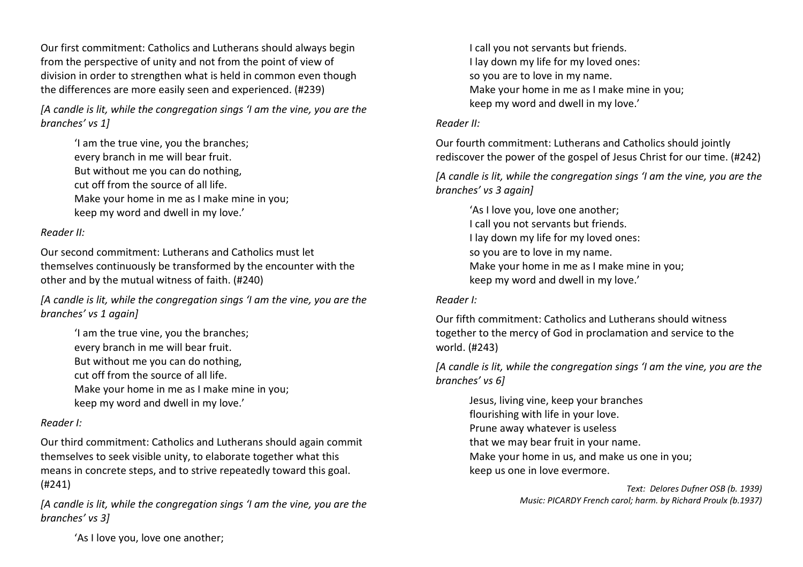Our first commitment: Catholics and Lutherans should always begin from the perspective of unity and not from the point of view of division in order to strengthen what is held in common even though the differences are more easily seen and experienced. (#239)

*[A candle is lit, while the congregation sings 'I am the vine, you are the branches' vs 1]*

> 'I am the true vine, you the branches; every branch in me will bear fruit. But without me you can do nothing, cut off from the source of all life. Make your home in me as I make mine in you; keep my word and dwell in my love.'

### *Reader II:*

Our second commitment: Lutherans and Catholics must let themselves continuously be transformed by the encounter with the other and by the mutual witness of faith. (#240)

*[A candle is lit, while the congregation sings 'I am the vine, you are the branches' vs 1 again]*

> 'I am the true vine, you the branches; every branch in me will bear fruit. But without me you can do nothing, cut off from the source of all life. Make your home in me as I make mine in you; keep my word and dwell in my love.'

### *Reader I:*

Our third commitment: Catholics and Lutherans should again commit themselves to seek visible unity, to elaborate together what this means in concrete steps, and to strive repeatedly toward this goal. (#241)

*[A candle is lit, while the congregation sings 'I am the vine, you are the branches' vs 3]*

I call you not servants but friends. I lay down my life for my loved ones: so you are to love in my name. Make your home in me as I make mine in you; keep my word and dwell in my love.'

### *Reader II:*

Our fourth commitment: Lutherans and Catholics should jointly rediscover the power of the gospel of Jesus Christ for our time. (#242)

*[A candle is lit, while the congregation sings 'I am the vine, you are the branches' vs 3 again]*

 'As I love you, love one another; I call you not servants but friends. I lay down my life for my loved ones: so you are to love in my name. Make your home in me as I make mine in you; keep my word and dwell in my love.'

### *Reader I:*

Our fifth commitment: Catholics and Lutherans should witness together to the mercy of God in proclamation and service to the world. (#243)

*[A candle is lit, while the congregation sings 'I am the vine, you are the branches' vs 6]*

 Jesus, living vine, keep your branches flourishing with life in your love. Prune away whatever is useless that we may bear fruit in your name. Make your home in us, and make us one in you; keep us one in love evermore.

> *Text: Delores Dufner OSB (b. 1939) Music: PICARDY French carol; harm. by Richard Proulx (b.1937)*

'As I love you, love one another;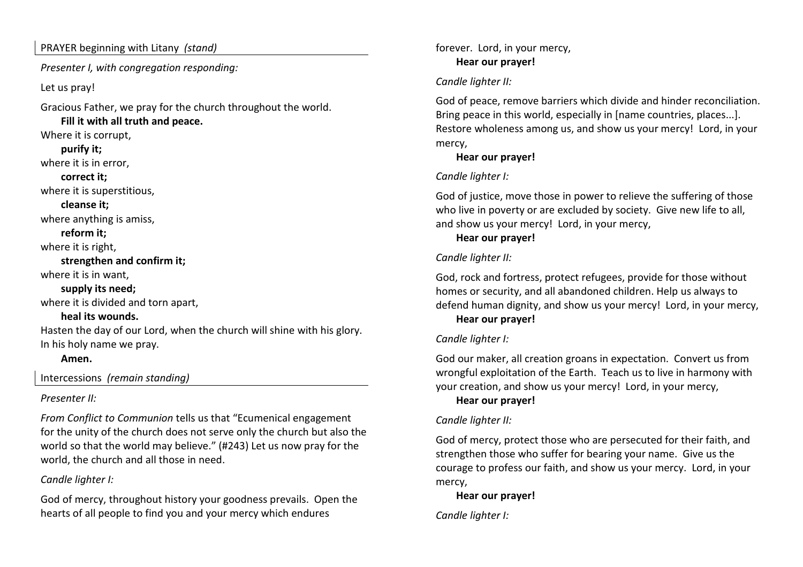### PRAYER beginning with Litany *(stand)*

*Presenter I, with congregation responding:*

Let us pray!

Gracious Father, we pray for the church throughout the world.

 **Fill it with all truth and peace.** Where it is corrupt, **purify it;**where it is in error,  **correct it;** where it is superstitious,  **cleanse it;** where anything is amiss,  **reform it;** where it is right,  **strengthen and confirm it;** where it is in want,  **supply its need;** where it is divided and torn apart,  **heal its wounds.**  Hasten the day of our Lord, when the church will shine with his glory. In his holy name we pray. **Amen.**

Intercessions *(remain standing)* 

# *Presenter II:*

*From Conflict to Communion* tells us that "Ecumenical engagement for the unity of the church does not serve only the church but also the world so that the world may believe." (#243) Let us now pray for the world, the church and all those in need.

# *Candle lighter I:*

God of mercy, throughout history your goodness prevails. Open the hearts of all people to find you and your mercy which endures

forever. Lord, in your mercy, **Hear our prayer!** 

# *Candle lighter II:*

God of peace, remove barriers which divide and hinder reconciliation. Bring peace in this world, especially in [name countries, places...]. Restore wholeness among us, and show us your mercy! Lord, in your mercy,

# **Hear our prayer!**

# *Candle lighter I:*

God of justice, move those in power to relieve the suffering of those who live in poverty or are excluded by society. Give new life to all, and show us your mercy! Lord, in your mercy,

# **Hear our prayer!**

# *Candle lighter II:*

God, rock and fortress, protect refugees, provide for those without homes or security, and all abandoned children. Help us always to defend human dignity, and show us your mercy! Lord, in your mercy, **Hear our prayer!** 

# *Candle lighter I:*

God our maker, all creation groans in expectation. Convert us from wrongful exploitation of the Earth. Teach us to live in harmony with your creation, and show us your mercy! Lord, in your mercy,

# **Hear our prayer!**

# *Candle lighter II:*

God of mercy, protect those who are persecuted for their faith, and strengthen those who suffer for bearing your name. Give us the courage to profess our faith, and show us your mercy. Lord, in your mercy,

**Hear our prayer!** 

*Candle lighter I:*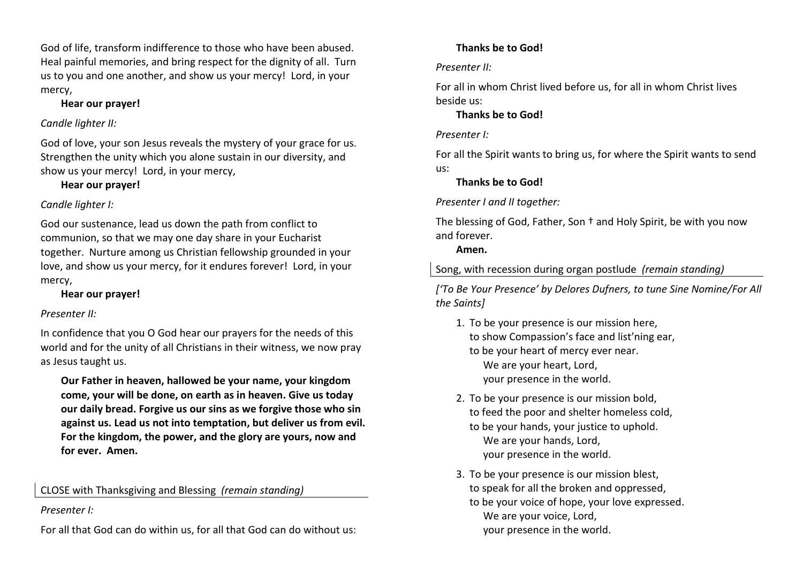God of life, transform indifference to those who have been abused. Heal painful memories, and bring respect for the dignity of all. Turn us to you and one another, and show us your mercy! Lord, in your mercy,

# **Hear our prayer!**

# *Candle lighter II:*

God of love, your son Jesus reveals the mystery of your grace for us. Strengthen the unity which you alone sustain in our diversity, and show us your mercy! Lord, in your mercy,

**Hear our prayer!** 

# *Candle lighter I:*

God our sustenance, lead us down the path from conflict to communion, so that we may one day share in your Eucharist together. Nurture among us Christian fellowship grounded in your love, and show us your mercy, for it endures forever! Lord, in your mercy,

**Hear our prayer!**

# *Presenter II:*

In confidence that you O God hear our prayers for the needs of this world and for the unity of all Christians in their witness, we now pray as Jesus taught us.

 **Our Father in heaven, hallowed be your name, your kingdom come, your will be done, on earth as in heaven. Give us today our daily bread. Forgive us our sins as we forgive those who sin against us. Lead us not into temptation, but deliver us from evil. For the kingdom, the power, and the glory are yours, now and for ever. Amen.** 

CLOSE with Thanksgiving and Blessing *(remain standing)* 

# *Presenter I:*

For all that God can do within us, for all that God can do without us:

# **Thanks be to God!**

# *Presenter II:*

For all in whom Christ lived before us, for all in whom Christ lives beside us:

# **Thanks be to God!**

# *Presenter I:*

For all the Spirit wants to bring us, for where the Spirit wants to send us:

# **Thanks be to God!**

*Presenter I and II together:* 

The blessing of God, Father, Son † and Holy Spirit, be with you now and forever.

# **Amen.**

Song, with recession during organ postlude *(remain standing)* 

*['To Be Your Presence' by Delores Dufners, to tune Sine Nomine/For All the Saints]*

- 1. To be your presence is our mission here, to show Compassion's face and list'ning ear, to be your heart of mercy ever near. We are your heart, Lord, your presence in the world.
- 2. To be your presence is our mission bold, to feed the poor and shelter homeless cold, to be your hands, your justice to uphold. We are your hands, Lord, your presence in the world.
- 3. To be your presence is our mission blest, to speak for all the broken and oppressed, to be your voice of hope, your love expressed. We are your voice, Lord, your presence in the world.